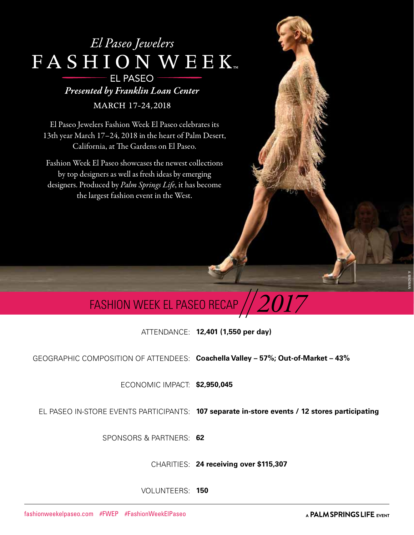### El Paseo Jewelers FASHION WEEK **EL PASEO** Presented by Franklin Loan Center

MARCH 17-24,2018

El Paseo Jewelers Fashion Week El Paseo celebrates its 13th year March 17–24, 2018 in the heart of Palm Desert, California, at The Gardens on El Paseo.

Fashion Week El Paseo showcases the newest collections by top designers as well as fresh ideas by emerging designers. Produced by *Palm Springs Life*, it has become the largest fashion event in the West.

## FASHION WEEK EL PASEO RECAP  $/\!/2017$

ATTENDANCE: **12,401 (1,550 per day)**

GEOGRAPHIC COMPOSITION OF ATTENDEES: **Coachella Valley – 57%; Out-of-Market – 43%** 

ECONOMIC IMPACT: **\$2,950,045**

EL PASEO IN-STORE EVENTS PARTICIPANTS: **107 separate in-store events / 12 stores participating**

SPONSORS & PARTNERS: **62** 

CHARITIES: **24 receiving over \$115,307**

VOLUNTEERS: **150**

A. BINDMAN